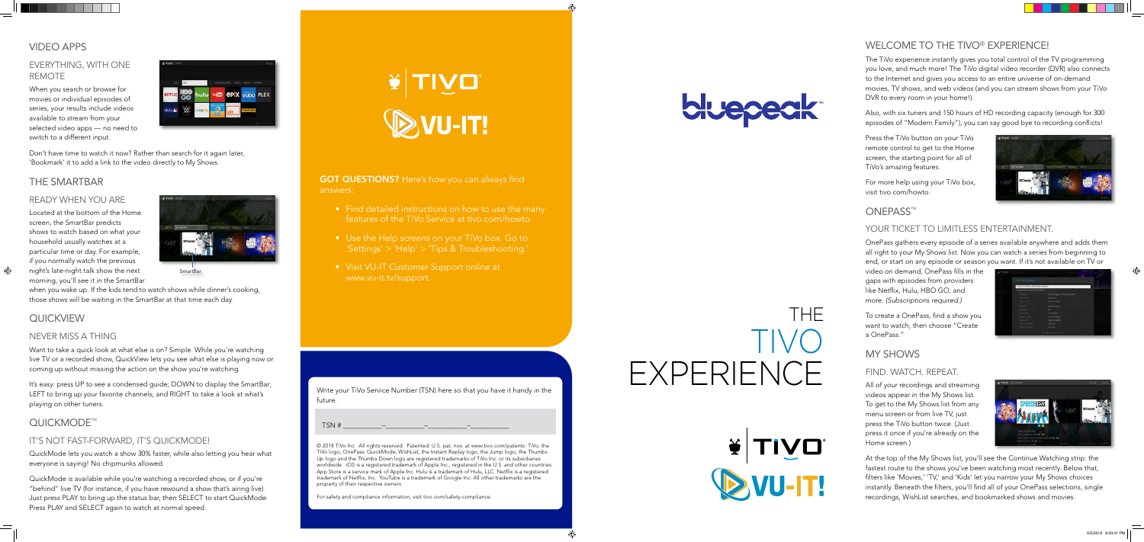**GOT QUESTIONS?** Here's how you can always find answers:

- Find detailed instructions on how to use the many features of the TiVo Service at tivo.com/howto.
- Use the Help screens on your TiVo box. Go to 'Settings' > 'Help' > 'Tips & Troubleshooting.'
- Visit VU-IT Customer Support online at www.vu-it.tv/support.

#### EVERYTHING, WITH ONE REMOTE

When you search or browse for movies or individual episodes of series, your results include videos available to stream from your selected video apps — no need to switch to a different input.

| KIDS<br>ALL    |            |       | <b>FAVORITE APPS</b><br>VIDEO<br>MUSIC-<br><b>SPORTS</b> |                    |                  |  |
|----------------|------------|-------|----------------------------------------------------------|--------------------|------------------|--|
| <b>NETFLIX</b> | <b>OBD</b> | hulu  |                                                          | YOU CPIX VUDU PLEX |                  |  |
| MLB.rv         |            | ameba | <b>GFN</b> CHECH <sup>IS</sup><br>G                      | alt                | <b>FLIXFLING</b> |  |

Don't have time to watch it now? Rather than search for it again later, 'Bookmark' it to add a link to the video directly to My Shows.

#### THE SMARTBAR

#### READY WHEN YOU ARE

Located at the bottom of the Home screen, the SmartBar predicts shows to watch based on what your household usually watches at a particular time or day. For example, if you normally watch the previous night's late-night talk show the next morning, you'll see it in the SmartBar



when you wake up. If the kids tend to watch shows while dinner's cooking, those shows will be waiting in the SmartBar at that time each day.

#### **QUICKVIEW**

 $\bigoplus$ 

#### NEVER MISS A THING

Want to take a quick look at what else is on? Simple. While you're watching live TV or a recorded show, QuickView lets you see what else is playing now or coming up without missing the action on the show you're watching.

It's easy: press UP to see a condensed guide; DOWN to display the SmartBar; LEFT to bring up your favorite channels; and RIGHT to take a look at what's playing on other tuners.

#### QUICKMODE<sup>™</sup>

#### IT'S NOT FAST-FORWARD, IT'S QUICKMODE!

QuickMode lets you watch a show 30% faster, while also letting you hear what everyone is saying! No chipmunks allowed.

QuickMode is available while you're watching a recorded show, or if you're "behind" live TV (for instance, if you have rewound a show that's airing live). Just press PLAY to bring up the status bar, then SELECT to start QuickMode. Press PLAY and SELECT again to watch at normal speed.

WU-IT!

#### WELCOME TO THE TIVO® EXPERIENCE!

The TiVo experience instantly gives you total control of the TV programming you love, and much more! The TiVo digital video recorder (DVR) also connects to the Internet and gives you access to an entire universe of on-demand movies, TV shows, and web videos (and you can stream shows from your TiVo DVR to every room in your home!).

Also, with six tuners and 150 hours of HD recording capacity (enough for 300 episodes of "Modern Family"), you can say good bye to recording conflicts!

Press the TiVo button on your TiVo remote control to get to the Home screen, the starting point for all of TiVo's amazing features.

For more help using your TiVo box, visit tivo.com/howto.



#### ONEPASS<sup>™</sup>

#### YOUR TICKET TO LIMITLESS ENTERTAINMENT.

OnePass gathers every episode of a series available anywhere and adds them all right to your My Shows list. Now you can watch a series from beginning to end, or start on any episode or season you want. If it's not available on TV or

video on demand, OnePass fills in the gaps with episodes from providers like Netflix, Hulu, HBO GO, and more. *(Subscriptions required.)*

To create a OnePass, find a show you want to watch, then choose "Create a OnePass."

# MY SHOWS

#### FIND. WATCH. REPEAT.

All of your recordings and streaming videos appear in the My Shows list. To get to the My Shows list from any menu screen or from live TV, just press the TiVo button twice. (Just press it once if you're already on the Home screen.)



At the top of the My Shows list, you'll see the Continue Watching strip: the fastest route to the shows you've been watching most recently. Below that, filters like 'Movies,' 'TV,' and 'Kids' let you narrow your My Shows choices instantly. Beneath the filters, you'll find all of your OnePass selections, single recordings, WishList searches, and bookmarked shows and movies.

© 2018 TiVo Inc. All rights reserved. Patented. U.S. pat. nos. at www.tivo.com/patents. TiVo, the TiVo logo, OnePass, QuickMode, WishList, the Instant Replay logo, the Jump logo, the Thumbs Up logo and the Thumbs Down logo are registered trademarks of TiVo Inc. or its subsidiaries worldwide. iOS is a registered trademark of Apple Inc., registered in the U.S. and other countries. App Store is a service mark of Apple Inc. Hulu is a trademark of Hulu, LLC. Netflix is a registered trademark of Netflix, Inc. YouTube is a trademark of Google Inc. All other trademarks are the property of their respective owners

For safety and compliance information, visit tivo.com/safety-compliance.

Write your TiVo Service Number (TSN) here so that you have it handy in the future.

TSN # \_\_\_\_\_\_\_\_\_\_\_–\_\_\_\_\_\_\_\_\_\_\_–\_\_\_\_\_\_\_\_\_\_\_–\_\_\_\_\_\_\_\_\_\_\_

SmartBar

# THE TIVO EXPERIENCE



◈